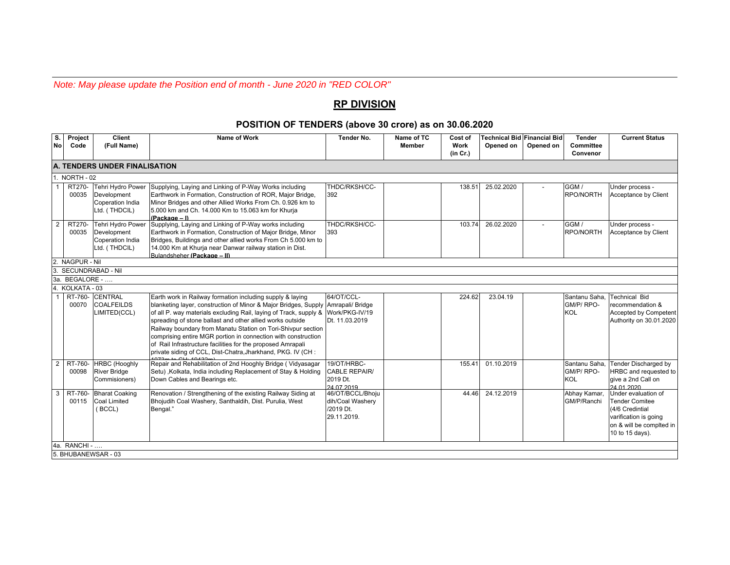*Note: May please update the Position end of month - June 2020 in "RED COLOR"*

## **RP DIVISION**

## **POSITION OF TENDERS (above 30 crore) as on 30.06.2020**

| S.<br><b>No</b>  | Project<br>Code                      | <b>Client</b><br>(Full Name)                                          | Name of Work                                                                                                                                                                                                                                                                                                                                                                                                                                                                                                                  | <b>Tender No.</b>                                                  | Name of TC<br><b>Member</b> | Cost of<br>Work<br>(in Cr.) | <b>Technical Bid Financial Bid</b><br>Opened on | Opened on | <b>Tender</b><br>Committee               | <b>Current Status</b>                                                                                                                   |
|------------------|--------------------------------------|-----------------------------------------------------------------------|-------------------------------------------------------------------------------------------------------------------------------------------------------------------------------------------------------------------------------------------------------------------------------------------------------------------------------------------------------------------------------------------------------------------------------------------------------------------------------------------------------------------------------|--------------------------------------------------------------------|-----------------------------|-----------------------------|-------------------------------------------------|-----------|------------------------------------------|-----------------------------------------------------------------------------------------------------------------------------------------|
|                  |                                      |                                                                       |                                                                                                                                                                                                                                                                                                                                                                                                                                                                                                                               |                                                                    |                             |                             |                                                 |           | <b>Convenor</b>                          |                                                                                                                                         |
|                  | <b>A. TENDERS UNDER FINALISATION</b> |                                                                       |                                                                                                                                                                                                                                                                                                                                                                                                                                                                                                                               |                                                                    |                             |                             |                                                 |           |                                          |                                                                                                                                         |
|                  | 1. NORTH - 02                        |                                                                       |                                                                                                                                                                                                                                                                                                                                                                                                                                                                                                                               |                                                                    |                             |                             |                                                 |           |                                          |                                                                                                                                         |
|                  | RT270-<br>00035                      | Tehri Hydro Power<br>Development<br>Coperation India<br>Ltd. (THDCIL) | Supplying, Laying and Linking of P-Way Works including<br>Earthwork in Formation, Construction of ROR, Major Bridge,<br>Minor Bridges and other Allied Works From Ch. 0.926 km to<br>5.000 km and Ch. 14.000 Km to 15.063 km for Khurja<br>(Package - I)                                                                                                                                                                                                                                                                      | THDC/RKSH/CC-<br>392                                               |                             | 138.51                      | 25.02.2020                                      |           | GGM/<br>RPO/NORTH                        | Under process -<br>Acceptance by Client                                                                                                 |
| $\overline{2}$   | RT270-<br>00035                      | Tehri Hydro Power<br>Development<br>Coperation India<br>Ltd. (THDCIL) | Supplying, Laying and Linking of P-Way works including<br>Earthwork in Formation, Construction of Major Bridge, Minor<br>Bridges, Buildings and other allied works From Ch 5.000 km to<br>14.000 Km at Khurja near Danwar railway station in Dist.<br>Bulandsheher (Package - II)                                                                                                                                                                                                                                             | THDC/RKSH/CC-<br>393                                               |                             | 103.74                      | 26.02.2020                                      |           | GGM /<br><b>RPO/NORTH</b>                | Under process -<br>Acceptance by Client                                                                                                 |
|                  | 2. NAGPUR - Nil                      |                                                                       |                                                                                                                                                                                                                                                                                                                                                                                                                                                                                                                               |                                                                    |                             |                             |                                                 |           |                                          |                                                                                                                                         |
|                  |                                      | SECUNDRABAD - Nil                                                     |                                                                                                                                                                                                                                                                                                                                                                                                                                                                                                                               |                                                                    |                             |                             |                                                 |           |                                          |                                                                                                                                         |
|                  | 3a. BEGALORE -                       |                                                                       |                                                                                                                                                                                                                                                                                                                                                                                                                                                                                                                               |                                                                    |                             |                             |                                                 |           |                                          |                                                                                                                                         |
| $\overline{4}$ . | KOLKATA - 03                         |                                                                       |                                                                                                                                                                                                                                                                                                                                                                                                                                                                                                                               |                                                                    |                             |                             |                                                 |           |                                          |                                                                                                                                         |
|                  | 00070                                | RT-760- CENTRAL<br><b>COALFEILDS</b><br>LIMITED(CCL)                  | Earth work in Railway formation including supply & laying<br>blanketing layer, construction of Minor & Major Bridges, Supply<br>of all P. way materials excluding Rail, laying of Track, supply &<br>spreading of stone ballast and other allied works outside<br>Railway boundary from Manatu Station on Tori-Shivpur section<br>comprising entire MGR portion in connection with construction<br>of Rail Infrastructure facilities for the proposed Amrapali<br>private siding of CCL, Dist-Chatra, Jharkhand, PKG. IV (CH: | 64/OT/CCL-<br>Amrapali/ Bridge<br>Work/PKG-IV/19<br>Dt. 11.03.2019 |                             | 224.62                      | 23.04.19                                        |           | Santanu Saha,<br>GM/P/RPO-<br><b>KOL</b> | <b>Technical Bid</b><br>recommendation &<br>Accepted by Competent<br>Authority on 30.01.2020                                            |
| $\overline{2}$   | RT-760-<br>00098                     | <b>HRBC</b> (Hooghly<br><b>River Bridge</b><br>Commisioners)          | Repair and Rehabilitation of 2nd Hooghly Bridge (Vidyasagar<br>Setu), Kolkata, India including Replacement of Stay & Holding<br>Down Cables and Bearings etc.                                                                                                                                                                                                                                                                                                                                                                 | 19/OT/HRBC-<br><b>CABLE REPAIR/</b><br>2019 Dt.<br>24.07.2019      |                             | 155.41                      | 01.10.2019                                      |           | Santanu Saha.<br>GM/P/RPO-<br><b>KOL</b> | <b>Tender Discharged by</b><br>HRBC and requested to<br>give a 2nd Call on<br>24.01.2020                                                |
| 3                | RT-760-<br>00115                     | <b>Bharat Coaking</b><br>Coal Limited<br>(BCCL)                       | Renovation / Strengthening of the existing Railway Siding at<br>Bhojudih Coal Washery, Santhaldih, Dist. Purulia, West<br>Bengal."                                                                                                                                                                                                                                                                                                                                                                                            | 46/OT/BCCL/Bhoju<br>dih/Coal Washery<br>/2019 Dt.<br>29.11.2019.   |                             | 44.46                       | 24.12.2019                                      |           | Abhay Kamar,<br>GM/P/Ranchi              | Under evaluation of<br><b>Tender Comitee</b><br>(4/6 Credintial<br>varification is going<br>on & will be complted in<br>10 to 15 days). |
| 4a. RANCHI -     |                                      |                                                                       |                                                                                                                                                                                                                                                                                                                                                                                                                                                                                                                               |                                                                    |                             |                             |                                                 |           |                                          |                                                                                                                                         |
|                  | 5. BHUBANEWSAR - 03                  |                                                                       |                                                                                                                                                                                                                                                                                                                                                                                                                                                                                                                               |                                                                    |                             |                             |                                                 |           |                                          |                                                                                                                                         |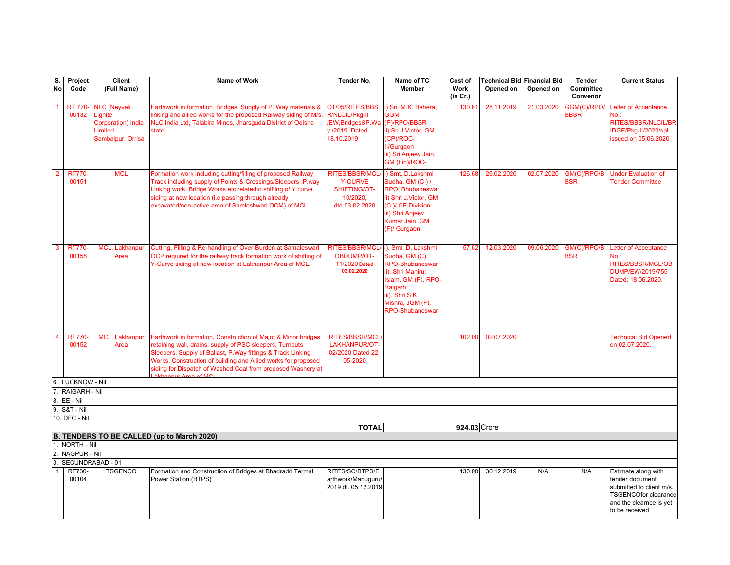| S.                                                                         | Project                 | <b>Client</b>                                                                         | Name of Work                                                                                                                                                                                                                                                                                                                                       | Tender No.                                                                               | Name of TC                                                                                                                                                                              | Cost of          | <b>Technical Bid Financial Bid</b> |            | <b>Tender</b>              | <b>Current Status</b>                                                                                                                          |
|----------------------------------------------------------------------------|-------------------------|---------------------------------------------------------------------------------------|----------------------------------------------------------------------------------------------------------------------------------------------------------------------------------------------------------------------------------------------------------------------------------------------------------------------------------------------------|------------------------------------------------------------------------------------------|-----------------------------------------------------------------------------------------------------------------------------------------------------------------------------------------|------------------|------------------------------------|------------|----------------------------|------------------------------------------------------------------------------------------------------------------------------------------------|
| <b>No</b>                                                                  | Code                    | (Full Name)                                                                           |                                                                                                                                                                                                                                                                                                                                                    |                                                                                          | <b>Member</b>                                                                                                                                                                           | Work<br>(in Cr.) | Opened on                          | Opened on  | Committee<br>Convenor      |                                                                                                                                                |
|                                                                            | <b>RT 770-</b><br>00132 | <b>NLC (Neyveli</b><br>Lignite<br>Corporation) India<br>Limited,<br>Sambalpur, Orrisa | Earthwork in formation, Bridges, Supply of P. Way materials &<br>linking and allied works for the proposed Railway siding of M/s.<br>NLC India Ltd, Talabira Mines, Jharsquda District of Odisha<br>state.                                                                                                                                         | OT/05/RITES/BBS<br>R/NLCIL/Pkg-II<br>/EW, Bridges&P. Wa<br>v /2019, Dated:<br>18.10.2019 | i) Sri. M.K. Behera,<br><b>GGM</b><br>(P)/RPO/BBSR<br>ii) Sri J.Victor, GM<br>(CP)/ROC-<br>II/Gurgaon<br>iii) Sri Anjeev Jain,<br>GM (Fin)/ROC-                                         | 130.61           | 28.11.2019                         | 21.03.2020 | GGM(C)/RPO/<br><b>BBSR</b> | etter of Acceptance<br>No.:<br>RITES/BBSR/NLCIL/BR<br>IDGE/Pkg-II/2020/spl<br>issued on 05.06.2020                                             |
| $\overline{2}$                                                             | <b>RT770-</b><br>00151  | <b>MCL</b>                                                                            | Formation work including cutting/filling of proposed Railway<br>Track including supply of Points & Crossings/Sleepers, P.way<br>Linking work, Bridge Works etc relatedto shifting of Y curve<br>siding at new location (i.e passing through already<br>excavated/non-active area of Samleshwari OCM) of MCL.                                       | RITES/BBSR/MCL/<br><b>Y-CURVE</b><br>SHIFTING/OT-<br>10/2020,<br>dtd.03.02.2020          | i) Smt. D.Lakshmi<br>Sudha, GM (C) /<br><b>RPO.</b> Bhubaneswar<br>ii) Shri J.Victor, GM<br>(C) / CP Division<br>iii) Shri Anjeev<br>Kumar Jain, GM<br>(F)/ Gurgaon                     | 126.68           | 26.02.2020                         | 02.07.2020 | GM(C)/RPO/B<br><b>BSR</b>  | <b>Under Evaluation of</b><br><b>Tender Committee</b>                                                                                          |
|                                                                            | <b>RT770-</b><br>00158  | <b>MCL</b><br>, Lakhanpur<br>Area                                                     | Cutting, Filling & Re-handling of Over-Burden at Samaleswari<br>OCP required for the railway track formation work of shifting of<br>Y-Curve siding at new location at Lakhanpur Area of MCL.                                                                                                                                                       | RITES/BBSR/MCL<br><b>OBDUMP/OT-</b><br>11/2020 Dated<br>03.02.2020                       | i). Smt. D. Lakshmi<br>Sudha, GM (C),<br><b>RPO-Bhubaneswar</b><br>ii). Shri Manirul<br>Islam, GM (P), RPO-<br>Raigarh<br>iii). Shri S.K.<br>Mishra, JGM (F),<br><b>RPO-Bhubaneswar</b> | 57.62            | 12.03.2020                         | 09.06.2020 | GM(C)/RPO/B<br><b>BSR</b>  | Letter of Acceptance<br>No.:<br>RITES/BBSR/MCL/OB<br><b>DUMP/EW/2019/755</b><br>Dated: 18.06.2020.                                             |
|                                                                            | <b>RT770-</b><br>00152  | MCL,<br>Lakhanpur<br>Area                                                             | Earthwork in formation, Construction of Major & Minor bridges,<br>retaining wall, drains, supply of PSC sleepers, Turnouts<br>Sleepers, Supply of Ballast, P. Way fittings & Track Linking<br>Works, Construction of building and Allied works for proposed<br>siding for Dispatch of Washed Coal from proposed Washery at<br>akhannur Area of MCI | <b>RITES/BBSR/MCL/</b><br>LAKHANPUR/OT-<br>02/2020 Dated 22-<br>05-2020                  |                                                                                                                                                                                         | 102.00           | 02.07.2020                         |            |                            | <b>Technical Bid Opened</b><br>on 02.07.2020.                                                                                                  |
|                                                                            | 6. LUCKNOW - Nil        |                                                                                       |                                                                                                                                                                                                                                                                                                                                                    |                                                                                          |                                                                                                                                                                                         |                  |                                    |            |                            |                                                                                                                                                |
|                                                                            | 7. RAIGARH - Nil        |                                                                                       |                                                                                                                                                                                                                                                                                                                                                    |                                                                                          |                                                                                                                                                                                         |                  |                                    |            |                            |                                                                                                                                                |
|                                                                            | $8.EE - Nil$            |                                                                                       |                                                                                                                                                                                                                                                                                                                                                    |                                                                                          |                                                                                                                                                                                         |                  |                                    |            |                            |                                                                                                                                                |
|                                                                            | 9. S&T - Nil            |                                                                                       |                                                                                                                                                                                                                                                                                                                                                    |                                                                                          |                                                                                                                                                                                         |                  |                                    |            |                            |                                                                                                                                                |
|                                                                            | 10. DFC - Nil           |                                                                                       |                                                                                                                                                                                                                                                                                                                                                    |                                                                                          |                                                                                                                                                                                         |                  |                                    |            |                            |                                                                                                                                                |
| 924.03 Crore<br><b>TOTAL</b><br>B. TENDERS TO BE CALLED (up to March 2020) |                         |                                                                                       |                                                                                                                                                                                                                                                                                                                                                    |                                                                                          |                                                                                                                                                                                         |                  |                                    |            |                            |                                                                                                                                                |
| 1. NORTH - Nil                                                             |                         |                                                                                       |                                                                                                                                                                                                                                                                                                                                                    |                                                                                          |                                                                                                                                                                                         |                  |                                    |            |                            |                                                                                                                                                |
| 2. NAGPUR - Nil                                                            |                         |                                                                                       |                                                                                                                                                                                                                                                                                                                                                    |                                                                                          |                                                                                                                                                                                         |                  |                                    |            |                            |                                                                                                                                                |
| SECUNDRABAD - 01<br>3.                                                     |                         |                                                                                       |                                                                                                                                                                                                                                                                                                                                                    |                                                                                          |                                                                                                                                                                                         |                  |                                    |            |                            |                                                                                                                                                |
|                                                                            | RT730-<br>00104         | <b>TSGENCO</b>                                                                        | Formation and Construction of Bridges at Bhadradri Termal<br>Power Station (BTPS)                                                                                                                                                                                                                                                                  | RITES/SC/BTPS/E<br>arthwork/Manuguru/<br>2019 dt. 05.12.2019                             |                                                                                                                                                                                         | 130.00           | 30.12.2019                         | N/A        | N/A                        | Estimate along with<br>tender document<br>submitted to client m/s.<br><b>TSGENCOfor clearance</b><br>and the clearnce is yet<br>to be received |